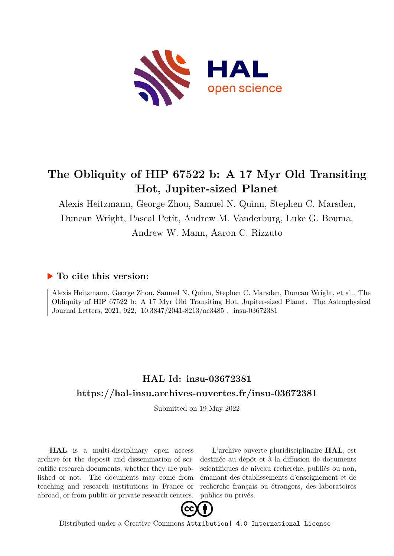

# **The Obliquity of HIP 67522 b: A 17 Myr Old Transiting Hot, Jupiter-sized Planet**

Alexis Heitzmann, George Zhou, Samuel N. Quinn, Stephen C. Marsden, Duncan Wright, Pascal Petit, Andrew M. Vanderburg, Luke G. Bouma, Andrew W. Mann, Aaron C. Rizzuto

### **To cite this version:**

Alexis Heitzmann, George Zhou, Samuel N. Quinn, Stephen C. Marsden, Duncan Wright, et al.. The Obliquity of HIP 67522 b: A 17 Myr Old Transiting Hot, Jupiter-sized Planet. The Astrophysical Journal Letters, 2021, 922, 10.3847/2041-8213/ac3485. insu-03672381

## **HAL Id: insu-03672381 <https://hal-insu.archives-ouvertes.fr/insu-03672381>**

Submitted on 19 May 2022

**HAL** is a multi-disciplinary open access archive for the deposit and dissemination of scientific research documents, whether they are published or not. The documents may come from teaching and research institutions in France or abroad, or from public or private research centers.

L'archive ouverte pluridisciplinaire **HAL**, est destinée au dépôt et à la diffusion de documents scientifiques de niveau recherche, publiés ou non, émanant des établissements d'enseignement et de recherche français ou étrangers, des laboratoires publics ou privés.



Distributed under a Creative Commons [Attribution| 4.0 International License](http://creativecommons.org/licenses/by/4.0/)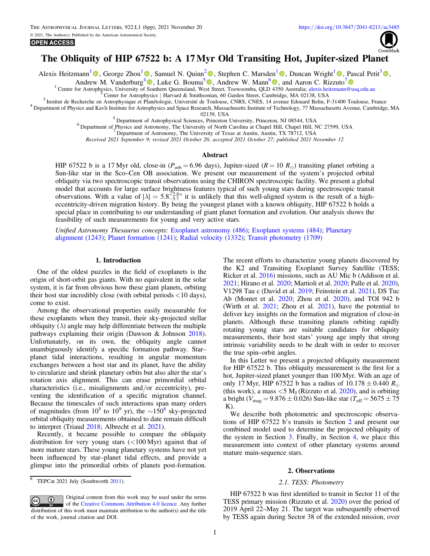

### The Obliquity of HIP 67522 b: A 17Myr Old Transiting Hot, Jupiter-sized Planet

Alexis Heitzmann<sup>[1](https://orcid.org/0000-0001-7294-5386)</sup> **.** George Zhou<sup>1</sup> **.** Samuel N. Quinn<sup>[2](https://orcid.org/0000-0002-8964-8377)</sup> [,](https://orcid.org/0000-0001-5522-8887) Stephen C. Marsden<sup>1</sup> **.** Duncan Wright<sup>1</sup> , Pascal Petit<sup>[3](https://orcid.org/0000-0001-7624-9222)</sup> **.** 

Andrew M. Vanderburg<sup>[4](https://orcid.org/0000-0001-7246-5438)</sup> **.** Luke G. Bouma<sup>[5](https://orcid.org/0000-0002-0514-5538)</sup> **0**, Andrew W. Mann<sup>[6](https://orcid.org/0000-0003-3654-1602)</sup> **0**, and Aaron C. Rizzuto<sup>[7](https://orcid.org/0000-0001-9982-1332)</sup> **0** 

<sup>1</sup> Centre for Astrophysics, University of Southern Queensland, West Street, Toowoomba, QLD 4350 Australia; [alexis.heitzmann@usq.edu.au](mailto:alexis.heitzmann@usq.edu.au)<br><sup>2</sup> Center for Astrophysics | Harvard & Smithsonian, 60 Garden Street, Cambridge, MA 0

<sup>5</sup> Department of Astrophysical Sciences, Princeton University, Princeton, NJ 08544, USA<br><sup>6</sup> Department of Physics and Astronomy, The University of North Carolina at Chapel Hill, Chapel Hill, NC 27599, USA<br><sup>7</sup> Department

Received 2021 September 9; revised 2021 October 26; accepted 2021 October 27; published 2021 November 12

#### Abstract

HIP 67522 b is a 17 Myr old, close-in ( $P_{\text{orb}} = 6.96$  days), Jupiter-sized ( $R = 10 R_{\oplus}$ ) transiting planet orbiting a Sun-like star in the Sco–Cen OB association. We present our measurement of the system's projected orbital obliquity via two spectroscopic transit observations using the CHIRON spectroscopic facility. We present a global model that accounts for large surface brightness features typical of such young stars during spectroscopic transit observations. With a value of  $|\lambda| = 5.8^{+2.8}$  it is unlikely that this well-aligned system is the result of a higheccentricity-driven migration history. By being the youngest planet with a known obliquity, HIP 67522 b holds a special place in contributing to our understanding of giant planet formation and evolution. Our analysis shows the feasibility of such measurements for young and very active stars.

Unified Astronomy Thesaurus concepts: [Exoplanet astronomy](http://astrothesaurus.org/uat/486) (486); [Exoplanet systems](http://astrothesaurus.org/uat/484) (484); [Planetary](http://astrothesaurus.org/uat/1243) [alignment](http://astrothesaurus.org/uat/1243) (1243); [Planet formation](http://astrothesaurus.org/uat/1241) (1241); [Radial velocity](http://astrothesaurus.org/uat/1332) (1332); [Transit photometry](http://astrothesaurus.org/uat/1709) (1709)

#### 1. Introduction

One of the oldest puzzles in the field of exoplanets is the origin of short-orbit gas giants. With no equivalent in the solar system, it is far from obvious how these giant planets, orbiting their host star incredibly close (with orbital periods <10 days), come to exist.

Among the observational properties easily measurable for these exoplanets when they transit, their sky-projected stellar obliquity  $(\lambda)$  angle may help differentiate between the multiple pathways explaining their origin (Dawson & Johnson 2018). Unfortunately, on its own, the obliquity angle cannot unambiguously identify a specific formation pathway. Star– planet tidal interactions, resulting in angular momentum exchanges between a host star and its planet, have the ability to circularize and shrink planetary orbits but also alter the star's rotation axis alignment. This can erase primordial orbital characteristics (i.e., misalignments and/or eccentricity), preventing the identification of a specific migration channel. Because the timescales of such interactions span many orders of magnitudes (from  $10^5$  to  $10^9$  yr), the ~150<sup>8</sup> sky-projected orbital obliquity measurements obtained to date remain difficult to interpret (Triaud 2018; Albrecht et al. 2021).

Recently, it became possible to compare the obliquity distribution for very young stars (<100 Myr) against that of more mature stars. These young planetary systems have not yet been influenced by star–planet tidal effects, and provide a glimpse into the primordial orbits of planets post-formation.

Original content from this work may be used under the terms  $\odot$  $\left(\mathrm{cc}\right)$ of the [Creative Commons Attribution 4.0 licence.](http://creativecommons.org/licenses/by/4.0/) Any further distribution of this work must maintain attribution to the author(s) and the title of the work, journal citation and DOI.

The recent efforts to characterize young planets discovered by the K2 and Transiting Exoplanet Survey Satellite (TESS; Ricker et al. 2016) missions, such as AU Mic b (Addison et al. 2021; Hirano et al. 2020; Martioli et al. 2020; Palle et al. 2020), V1298 Tau c (David et al. 2019; Feinstein et al. 2021), DS Tuc Ab (Montet et al. 2020; Zhou et al. 2020), and TOI 942 b (Wirth et al. 2021; Zhou et al. 2021), have the potential to deliver key insights on the formation and migration of close-in planets. Although these transiting planets orbiting rapidly rotating young stars are suitable candidates for obliquity measurements, their host stars' young age imply that strong intrinsic variability needs to be dealt with in order to recover the true spin–orbit angles.

In this Letter we present a projected obliquity measurement for HIP 67522 b. This obliquity measurement is the first for a hot, Jupiter-sized planet younger than 100 Myr. With an age of only 17 Myr, HIP 67522 b has a radius of  $10.178 \pm 0.440 R_{\oplus}$ (this work), a mass  $<$  5 M<sub>J</sub> (Rizzuto et al. 2020), and is orbiting a bright ( $V_{\text{mag}} = 9.876 \pm 0.026$ ) Sun-like star ( $T_{\text{eff}} = 5675 \pm 75$  $K$ ).

We describe both photometric and spectroscopic observations of HIP 67522 b's transits in Section 2 and present our combined model used to determine the projected obliquity of the system in Section 3. Finally, in Section 4, we place this measurement into context of other planetary systems around mature main-sequence stars.

#### 2. Observations

#### 2.1. TESS: Photometry

HIP 67522 b was first identified to transit in Sector 11 of the TESS primary mission (Rizzuto et al. 2020) over the period of 2019 April 22–May 21. The target was subsequently observed by TESS again during Sector 38 of the extended mission, over

<sup>8</sup> TEPCat 2021 July (Southworth 2011).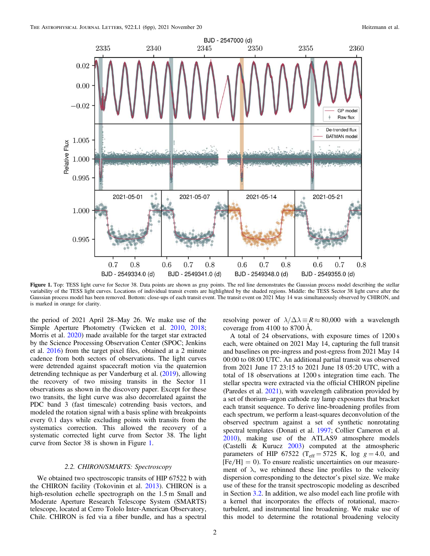

Figure 1. Top: TESS light curve for Sector 38. Data points are shown as gray points. The red line demonstrates the Gaussian process model describing the stellar variability of the TESS light curves. Locations of individual transit events are highlighted by the shaded regions. Middle: the TESS Sector 38 light curve after the Gaussian process model has been removed. Bottom: close-ups of each transit event. The transit event on 2021 May 14 was simultaneously observed by CHIRON, and is marked in orange for clarity.

the period of 2021 April 28–May 26. We make use of the Simple Aperture Photometry (Twicken et al. 2010, 2018; Morris et al. 2020) made available for the target star extracted by the Science Processing Observation Center (SPOC; Jenkins et al. 2016) from the target pixel files, obtained at a 2 minute cadence from both sectors of observations. The light curves were detrended against spacecraft motion via the quaternion detrending technique as per Vanderburg et al. (2019), allowing the recovery of two missing transits in the Sector 11 observations as shown in the discovery paper. Except for these two transits, the light curve was also decorrelated against the PDC band 3 (fast timescale) cotrending basis vectors, and modeled the rotation signal with a basis spline with breakpoints every 0.1 days while excluding points with transits from the systematics correction. This allowed the recovery of a systematic corrected light curve from Sector 38. The light curve from Sector 38 is shown in Figure 1.

#### 2.2. CHIRON/SMARTS: Spectroscopy

We obtained two spectroscopic transits of HIP 67522 b with the CHIRON facility (Tokovinin et al. 2013). CHIRON is a high-resolution echelle spectrograph on the 1.5 m Small and Moderate Aperture Research Telescope System (SMARTS) telescope, located at Cerro Tololo Inter-American Observatory, Chile. CHIRON is fed via a fiber bundle, and has a spectral

resolving power of  $\lambda/\Delta\lambda = R \approx 80,000$  with a wavelength coverage from 4100 to 8700 Å.

A total of 24 observations, with exposure times of 1200 s each, were obtained on 2021 May 14, capturing the full transit and baselines on pre-ingress and post-egress from 2021 May 14 00:00 to 08:00 UTC. An additional partial transit was observed from 2021 June 17 23:15 to 2021 June 18 05:20 UTC, with a total of 18 observations at 1200 s integration time each. The stellar spectra were extracted via the official CHIRON pipeline (Paredes et al. 2021), with wavelength calibration provided by a set of thorium–argon cathode ray lamp exposures that bracket each transit sequence. To derive line-broadening profiles from each spectrum, we perform a least-squares deconvolution of the observed spectrum against a set of synthetic nonrotating spectral templates (Donati et al. 1997; Collier Cameron et al. 2010), making use of the ATLAS9 atmosphere models (Castelli & Kurucz 2003) computed at the atmospheric parameters of HIP 67522 (T<sub>eff</sub> = 5725 K, log  $g = 4.0$ , and  $[Fe/H] = 0$ ). To ensure realistic uncertainties on our measurement of  $\lambda$ , we rebinned these line profiles to the velocity dispersion corresponding to the detector's pixel size. We make use of these for the transit spectroscopic modeling as described in Section 3.2. In addition, we also model each line profile with a kernel that incorporates the effects of rotational, macroturbulent, and instrumental line broadening. We make use of this model to determine the rotational broadening velocity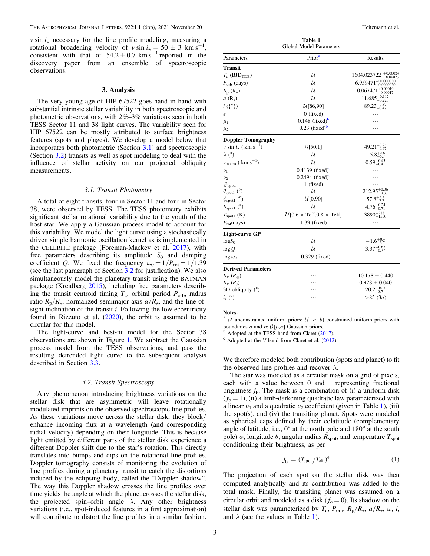$v \sin i_{\star}$  necessary for the line profile modeling, measuring a rotational broadening velocity of  $v \sin i_x = 50 \pm 3$  km s<sup>−</sup> rotational broadening velocity of  $v \sin i_x = 50 \pm 3$  km s<sup>-1</sup>, consistent with that of  $54.2 \pm 0.7$  km s<sup>-1</sup> reported in the discovery paper from an ensemble of spectroscopic observations.

#### 3. Analysis

The very young age of HIP 67522 goes hand in hand with substantial intrinsic stellar variability in both spectroscopic and photometric observations, with 2%–3% variations seen in both TESS Sector 11 and 38 light curves. The variability seen for HIP 67522 can be mostly attributed to surface brightness features (spots and plages). We develop a model below that incorporates both photometric (Section 3.1) and spectroscopic (Section 3.2) transits as well as spot modeling to deal with the influence of stellar activity on our projected obliquity measurements.

#### 3.1. Transit Photometry

A total of eight transits, four in Sector 11 and four in Sector 38, were observed by TESS. The TESS photometry exhibits significant stellar rotational variability due to the youth of the host star. We apply a Gaussian process model to account for this variability. We model the light curve using a stochastically driven simple harmonic oscillation kernel as is implemented in the CELERITE package (Foreman-Mackey et al. 2017), with free parameters describing its amplitude  $S_0$  and damping coefficient Q. We fixed the frequency  $\omega_0 = 1/P_{\text{rot}} = 1/1.39$ (see the last paragraph of Section 3.2 for justification). We also simultaneously model the planetary transit using the BATMAN package (Kreidberg 2015), including free parameters describing the transit centroid timing  $T_c$ , orbital period  $P_{\text{orb}}$ , radius ratio  $R_{\rm p}/R_{\star}$ , normalized semimajor axis  $a/R_{\star}$ , and the line-ofsight inclination of the transit  $i$ . Following the low eccentricity found in Rizzuto et al. (2020), the orbit is assumed to be circular for this model.

The light-curve and best-fit model for the Sector 38 observations are shown in Figure 1. We subtract the Gaussian process model from the TESS observations, and pass the resulting detrended light curve to the subsequent analysis described in Section 3.3.

#### 3.2. Transit Spectroscopy

Any phenomenon introducing brightness variations on the stellar disk that are asymmetric will leave rotationally modulated imprints on the observed spectroscopic line profiles. As these variations move across the stellar disk, they block/ enhance incoming flux at a wavelength (and corresponding radial velocity) depending on their longitude. This is because light emitted by different parts of the stellar disk experience a different Doppler shift due to the star's rotation. This directly translates into bumps and dips on the rotational line profiles. Doppler tomography consists of monitoring the evolution of line profiles during a planetary transit to catch the distortions induced by the eclipsing body, called the "Doppler shadow". The way this Doppler shadow crosses the line profiles over time yields the angle at which the planet crosses the stellar disk, the projected spin–orbit angle  $\lambda$ . Any other brightness variations (i.e., spot-induced features in a first approximation) will contribute to distort the line profiles in a similar fashion.

Table 1 Global Model Parameters Parameters Prior<sup>a</sup> Results Transit  $T_c$  (BJD<sub>TDB</sub>)  $\mathcal{U}$  1604.023722  $^{+0.00024}_{-0.00023}$  $P_{\text{orb}}$  (days)  $U$  6.959471<sup>+0.0000030</sup>  $R_{\rm p}$  (R<sub>\*</sub>)  $\mathcal{U}$  0.067471<sup>+0.00019</sup> a  $(R_{\star})$  11.685<sup>+0.112</sup> 12.685<sup>+0.112</sup>  $i$  ({°})  $\mathcal{U}[86,90]$  89.23<sup>+0.37</sup>  $e \qquad \qquad 0 \text{ (fixed)} \qquad \qquad \ldots$  $\mu_1$  0.148 (fixed)<sup>b</sup> **b** ...  $\mu_2$  0.23 (fixed)<sup>b</sup> **b** ... Doppler Tomography v sin  $i_{\star}$  (km s<sup>-1</sup>)  $\mathcal{G}[50,1]$  49.21<sup>+0.95</sup>  $\lambda$  (°)  $\lambda$  = 5.8<sup>+2.8</sup>  $v_{\rm macro}$  (  $\rm km~s^{-1})$  $\mathcal{U}$  0.59<sup>+0.43</sup>  $v_1$  0.4139 (fixed)<sup>6</sup>  $\mathbf{c}$  and  $\mathbf{c}$  and  $\mathbf{c}$  $v_2$  0.2494 (fixed)<sup>6</sup> c  $\cdots$  $\begin{array}{ccc}\n\text{\#spots} & & 1 \text{ (fixed)} & \cdots \\
\theta_{\text{spot1}} \text{ (}^\circ \text{)} & & \mathcal{U} & 212.95\n\end{array}$  $\theta_{\text{spot1}}$  (°)  $\theta_{\text{12.95} \pm 0.36}$  (°)  $212.95_{-0.37}^{+0.36}$  $\phi_{\text{spot1}}$  (°)  $\mathcal{U}[0,90]$  $+2.7$ <br> $-2.2$  $R_{\text{spot1}}$  (°)  $\mathcal{U}$  4.76 $^{+0.24}_{-0.71}$  $T_{\text{spot1}}$  (K)  $U[0.6 \times \text{Teff}, 0.8 \times \text{Teff}]$  $^{+288}_{-155}$  $P_{\text{rot}}$ (days) 1.39 (fixed)  $\cdots$ Light-curve GP logS<sup>0</sup> 1.6 3.7 0.4 - - +  $\frac{\log Q}{\log 4}$  3.37 $^{+0.67}_{-0.77}$  $\log \omega_0$  −0.329 (fixed) … Derived Parameters  $R_P (R_{\oplus})$  ... 10.178 ± 0.440 RP (RJ) L 0.928 ± 0.040 3D obliquity  $(°)$  ...  $^{+10.3}_{-8.7}$  $i_{\star}$  (°)  $\cdots$  >85 (3 $\sigma$ )

Notes.

<sup>a</sup>  $U$  unconstrained uniform priors;  $U$  [a, b] constrained uniform priors with

boundaries *a* and *b*;  $G[\mu, \sigma]$  Gaussian priors.<br><sup>b</sup> Adopted at the TESS band from Claret (2017).<br><sup>c</sup> Adopted at the *V* band from Claret et al. (2012).

We therefore modeled both contribution (spots and planet) to fit the observed line profiles and recover  $\lambda$ .

The star was modeled as a circular mask on a grid of pixels, each with a value between 0 and 1 representing fractional brightness  $f<sub>b</sub>$ . The mask is a combination of (i) a uniform disk  $(f<sub>b</sub> = 1)$ , (ii) a limb-darkening quadratic law parameterized with a linear  $\nu_1$  and a quadratic  $\nu_2$  coefficient (given in Table 1), (iii) the spot(s), and (iv) the transiting planet. Spots were modeled as spherical caps defined by their colatitude (complementary angle of latitude, i.e., 0° at the north pole and 180° at the south pole)  $\phi$ , longitude  $\theta$ , angular radius  $R_{\text{spot}}$ , and temperature  $T_{\text{spot}}$ conditioning their brightness, as per

$$
f_{\rm b} = (T_{\rm spot}/T_{\rm eff})^4. \tag{1}
$$

The projection of each spot on the stellar disk was then computed analytically and its contribution was added to the total mask. Finally, the transiting planet was assumed on a circular orbit and modeled as a disk ( $f_b = 0$ ). Its shadow on the stellar disk was parameterized by  $T_c$ ,  $P_{\text{orb}}$ ,  $R_p/R_\star$ ,  $a/R_\star$ ,  $\omega$ , *i*, and  $\lambda$  (see the values in Table 1).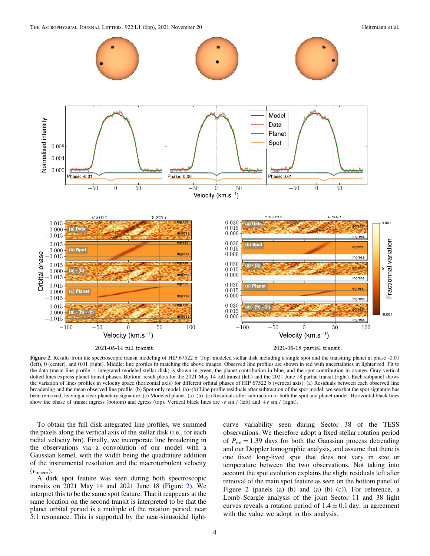THE ASTROPHYSICAL JOURNAL LETTERS, 922:L1 (6pp), 2021 November 20 Heitzmann et al.



Figure 2. Results from the spectroscopic transit modeling of HIP 67522 b. Top: modeled stellar disk including a single spot and the transiting planet at phase -0.01 (left), 0 (center), and 0.01 (right). Middle: line profiles fit matching the above images. Observed line profiles are shown in red with uncertainties in lighter red. Fit to the data (mean line profile + integrated modeled stellar disk) is shown in green, the planet contribution in blue, and the spot contribution in orange. Gray vertical dotted lines express planet transit phases. Bottom: result plots for the 2021 May 14 full transit (left) and the 2021 June 18 partial transit (right). Each subpanel shows the variation of lines profiles in velocity space (horizontal axis) for different orbital phases of HIP 67522 b (vertical axis). (a) Residuals between each observed line broadening and the mean observed line profile. (b) Spot-only model. (a)–(b) Line profile residuals after subtraction of the spot model; we see that the spot signature has been removed, leaving a clear planetary signature. (c) Modeled planet. (a)–(b)–(c) Residuals after subtraction of both the spot and planet model. Horizontal black lines show the phase of transit ingress (bottom) and egress (top). Vertical black lines are  $\nu$  sin i (left) and  $+\nu$  sin i (right).

To obtain the full disk-integrated line profiles, we summed the pixels along the vertical axis of the stellar disk (i.e., for each radial velocity bin). Finally, we incorporate line broadening in the observations via a convolution of our model with a Gaussian kernel, with the width being the quadrature addition of the instrumental resolution and the macroturbulent velocity (vmacro).

A dark spot feature was seen during both spectroscopic transits on 2021 May 14 and 2021 June 18 (Figure 2). We interpret this to be the same spot feature. That it reappears at the same location on the second transit is interpreted to be that the planet orbital period is a multiple of the rotation period, near 5:1 resonance. This is supported by the near-sinusoidal lightcurve variability seen during Sector 38 of the TESS observations. We therefore adopt a fixed stellar rotation period of  $P_{\text{rot}} = 1.39$  days for both the Gaussian process detrending and our Doppler tomographic analysis, and assume that there is one fixed long-lived spot that does not vary in size or temperature between the two observations. Not taking into account the spot evolution explains the slight residuals left after removal of the main spot feature as seen on the bottom panel of Figure 2 (panels  $(a)$ – $(b)$  and  $(a)$ – $(b)$ – $(c)$ ). For reference, a Lomb–Scargle analysis of the joint Sector 11 and 38 light curves reveals a rotation period of  $1.4 \pm 0.1$  day, in agreement with the value we adopt in this analysis.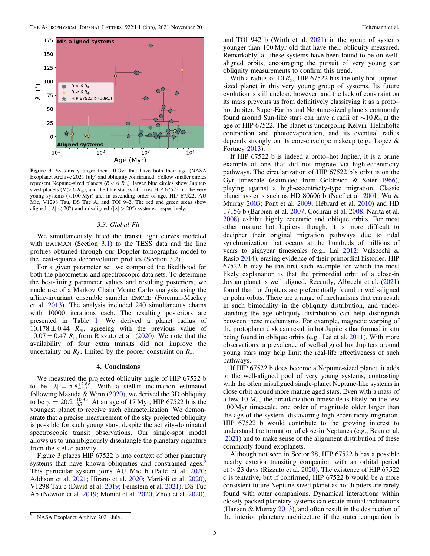

Figure 3. Systems younger then 10 Gyr that have both their age (NASA Exoplanet Archive 2021 July) and obliquity constrained. Yellow smaller circles represent Neptune-sized planets ( $R < 6 R_{\oplus}$ ), larger blue circles show Jupitersized planets ( $R > 6 R_{\oplus}$ ), and the blue star symbolizes HIP 67522 b. The very young systems (<100 Myr) are, in ascending order of age, HIP 67522, AU Mic, V1298 Tau, DS Tuc A, and TOI 942. The red and green areas show aligned ( $|\lambda| < 20^{\circ}$ ) and misaligned ( $|\lambda| > 20^{\circ}$ ) systems, respectively.

#### 3.3. Global Fit

We simultaneously fitted the transit light curves modeled with BATMAN (Section  $3.1$ ) to the TESS data and the line profiles obtained through our Doppler tomographic model to the least-squares deconvolution profiles (Section 3.2).

For a given parameter set, we computed the likelihood for both the photometric and spectroscopic data sets. To determine the best-fitting parameter values and resulting posteriors, we made use of a Markov Chain Monte Carlo analysis using the affine-invariant ensemble sampler EMCEE (Foreman-Mackey et al. 2013). The analysis included 240 simultaneous chains with 10000 iterations each. The resulting posteriors are presented in Table 1. We derived a planet radius of  $10.178 \pm 0.44$  R<sub>⊕</sub>, agreeing with the previous value of  $10.07 \pm 0.47$   $R_{\oplus}$  from Rizzuto et al. (2020). We note that the availability of four extra transits did not improve the uncertainty on  $R_P$ , limited by the poorer constraint on  $R_{\star}$ .

#### 4. Conclusions

We measured the projected obliquity angle of HIP 67522 b to be  $|\lambda| = 5.8^{+2.8}_{-5.7}$ . With a stellar inclination estimated following Masuda & Winn  $(2020)$ , we derived the 3D obliquity to be  $\psi = 20.2^{+10.3\circ}_{-8.7}$ . At an age of 17 Myr, HIP 67522 b is the youngest planet to receive such characterization. We demonstrate that a precise measurement of the sky-projected obliquity is possible for such young stars, despite the activity-dominated spectroscopic transit observations. Our single-spot model allows us to unambiguously disentangle the planetary signature from the stellar activity.

Figure 3 places HIP 67522 b into context of other planetary systems that have known obliquities and constrained ages.<sup>9</sup> This particular system joins AU Mic b (Palle et al. 2020; Addison et al. 2021; Hirano et al. 2020; Martioli et al. 2020), V1298 Tau c (David et al. 2019; Feinstein et al. 2021), DS Tuc Ab (Newton et al. 2019; Montet et al. 2020; Zhou et al. 2020), and TOI 942 b (Wirth et al. 2021) in the group of systems younger than 100 Myr old that have their obliquity measured. Remarkably, all these systems have been found to be on wellaligned orbits, encouraging the pursuit of very young star obliquity measurements to confirm this trend.

With a radius of 10  $R_{\oplus}$ , HIP 67522 b is the only hot, Jupitersized planet in this very young group of systems. Its future evolution is still unclear, however, and the lack of constraint on its mass prevents us from definitively classifying it as a proto– hot Jupiter. Super-Earths and Neptune-sized planets commonly found around Sun-like stars can have a radii of  $\sim 10 R_{\oplus}$  at the age of HIP 67522. The planet is undergoing Kelvin–Helmholtz contraction and photoevaporation, and its eventual radius depends strongly on its core-envelope makeup (e.g., Lopez & Fortney 2013).

If HIP 67522 b is indeed a proto–hot Jupiter, it is a prime example of one that did not migrate via high-eccentricity pathways. The circularization of HIP 67522 b's orbit is on the Gyr timescale (estimated from Goldreich & Soter 1966), playing against a high-eccentricity-type migration. Classic planet systems such as HD 80606 b (Naef et al. 2001; Wu & Murray 2003; Pont et al. 2009; Hébrard et al. 2010) and HD 17156 b (Barbieri et al. 2007; Cochran et al. 2008; Narita et al. 2008) exhibit highly eccentric and oblique orbits. For most other mature hot Jupiters, though, it is more difficult to decipher their original migration pathways due to tidal synchronization that occurs at the hundreds of millions of years to gigayear timescales (e.g., Lai 2012; Valsecchi & Rasio 2014), erasing evidence of their primordial histories. HIP 67522 b may be the first such example for which the most likely explanation is that the primordial orbit of a close-in Jovian planet is well aligned. Recently, Albrecht et al. (2021) found that hot Jupiters are preferentially found in well-aligned or polar orbits. There are a range of mechanisms that can result in such bimodality in the obliquity distribution, and understanding the age–obliquity distribution can help distinguish between these mechanisms. For example, magnetic warping of the protoplanet disk can result in hot Jupiters that formed in situ being found in oblique orbits (e.g., Lai et al. 2011). With more observations, a prevalence of well-aligned hot Jupiters around young stars may help limit the real-life effectiveness of such pathways.

If HIP 67522 b does become a Neptune-sized planet, it adds to the well-aligned pool of very young systems, contrasting with the often misaligned single-planet Neptune-like systems in close orbit around more mature aged stars. Even with a mass of a few 10  $M_{\oplus}$ , the circularization timescale is likely on the few 100 Myr timescale, one order of magnitude older larger than the age of the system, disfavoring high-eccentricity migration. HIP 67522 b would contribute to the growing interest to understand the formation of close-in Neptunes (e.g., Bean et al. 2021) and to make sense of the alignment distribution of these commonly found exoplanets.

Although not seen in Sector 38, HIP 67522 b has a possible nearby exterior transiting companion with an orbital period of  $>$  23 days (Rizzuto et al. 2020). The existence of HIP 67522 c is tentative, but if confirmed, HIP 67522 b would be a more consistent future Neptune-sized planet as hot Jupiters are rarely found with outer companions. Dynamical interactions within closely packed planetary systems can excite mutual inclinations (Hansen & Murray  $2013$ ), and often result in the destruction of the interior planetary architecture if the outer companion is

NASA Exoplanet Archive 2021 July.